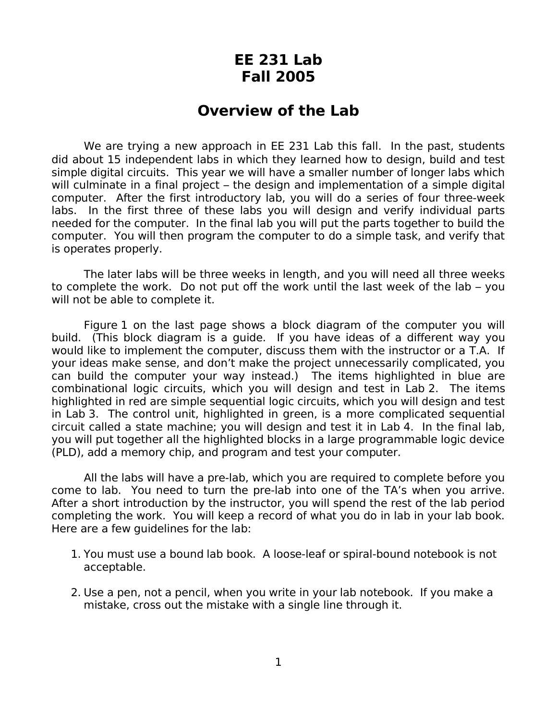## **EE 231 Lab Fall 2005**

## **Overview of the Lab**

We are trying a new approach in EE 231 Lab this fall. In the past, students did about 15 independent labs in which they learned how to design, build and test simple digital circuits. This year we will have a smaller number of longer labs which will culminate in a final project – the design and implementation of a simple digital computer. After the first introductory lab, you will do a series of four three-week labs. In the first three of these labs you will design and verify individual parts needed for the computer. In the final lab you will put the parts together to build the computer. You will then program the computer to do a simple task, and verify that is operates properly.

The later labs will be three weeks in length, and you will need all three weeks to complete the work. Do not put off the work until the last week of the lab – you will not be able to complete it.

Figure 1 on the last page shows a block diagram of the computer you will build. (This block diagram is a guide. If you have ideas of a different way you would like to implement the computer, discuss them with the instructor or a T.A. If your ideas make sense, and don't make the project unnecessarily complicated, you can build the computer your way instead.) The items highlighted in blue are combinational logic circuits, which you will design and test in Lab 2. The items highlighted in red are simple sequential logic circuits, which you will design and test in Lab 3. The control unit, highlighted in green, is a more complicated sequential circuit called a state machine; you will design and test it in Lab 4. In the final lab, you will put together all the highlighted blocks in a large programmable logic device (PLD), add a memory chip, and program and test your computer.

All the labs will have a pre-lab, which you are required to complete before you come to lab. You need to turn the pre-lab into one of the TA's when you arrive. After a short introduction by the instructor, you will spend the rest of the lab period completing the work. You will keep a record of what you do in lab in your lab book. Here are a few guidelines for the lab:

- 1. You must use a bound lab book. A loose-leaf or spiral-bound notebook is not acceptable.
- 2. Use a pen, not a pencil, when you write in your lab notebook. If you make a mistake, cross out the mistake with a single line through it.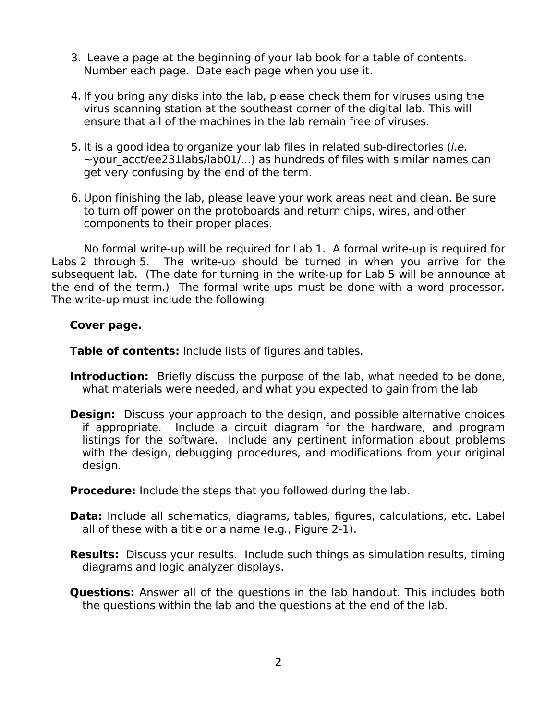- 3. Leave a page at the beginning of your lab book for a table of contents. Number each page. Date each page when you use it.
- 4. If you bring any disks into the lab, please check them for viruses using the virus scanning station at the southeast corner of the digital lab. This will ensure that all of the machines in the lab remain free of viruses.
- 5. It is a good idea to organize your lab files in related sub-directories (i.e.  $\sim$ your\_acct/ee231labs/lab01/...) as hundreds of files with similar names can get very confusing by the end of the term.
- 6. Upon finishing the lab, please leave your work areas neat and clean. Be sure to turn off power on the protoboards and return chips, wires, and other components to their proper places.

No formal write-up will be required for Lab 1. A formal write-up is required for Labs 2 through 5. The write-up should be turned in when you arrive for the subsequent lab. (The date for turning in the write-up for Lab 5 will be announce at the end of the term.) The formal write-ups must be done with a word processor. The write-up must include the following:

## **Cover page.**

**Table of contents:** Include lists of figures and tables.

- **Introduction:** Briefly discuss the purpose of the lab, what needed to be done, what materials were needed, and what you expected to gain from the lab
- **Design:** Discuss your approach to the design, and possible alternative choices if appropriate. Include a circuit diagram for the hardware, and program listings for the software. Include any pertinent information about problems with the design, debugging procedures, and modifications from your original design.

**Procedure:** Include the steps that you followed during the lab.

- **Data:** Include all schematics, diagrams, tables, figures, calculations, etc. Label all of these with a title or a name (e.g., Figure 2-1).
- **Results:** Discuss your results. Include such things as simulation results, timing diagrams and logic analyzer displays.
- **Questions:** Answer all of the questions in the lab handout. This includes both the questions within the lab and the questions at the end of the lab.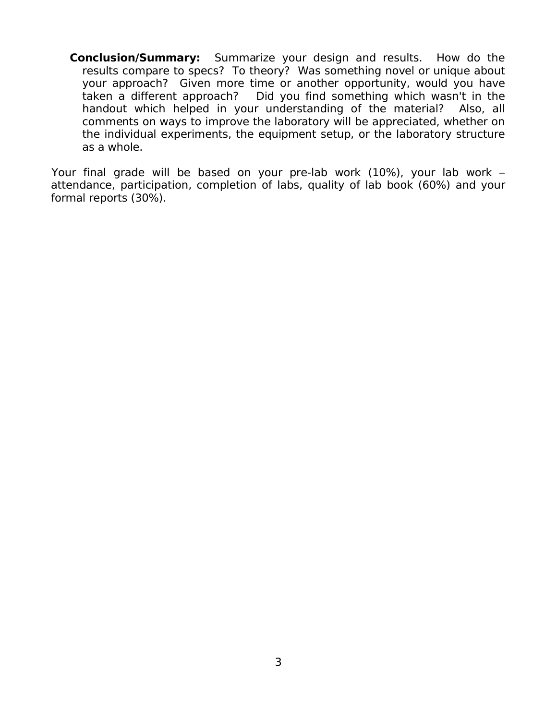**Conclusion/Summary:** Summarize your design and results. How do the results compare to specs? To theory? Was something novel or unique about your approach? Given more time or another opportunity, would you have taken a different approach? Did you find something which wasn't in the handout which helped in your understanding of the material? Also, all comments on ways to improve the laboratory will be appreciated, whether on the individual experiments, the equipment setup, or the laboratory structure as a whole.

Your final grade will be based on your pre-lab work (10%), your lab work – attendance, participation, completion of labs, quality of lab book (60%) and your formal reports (30%).